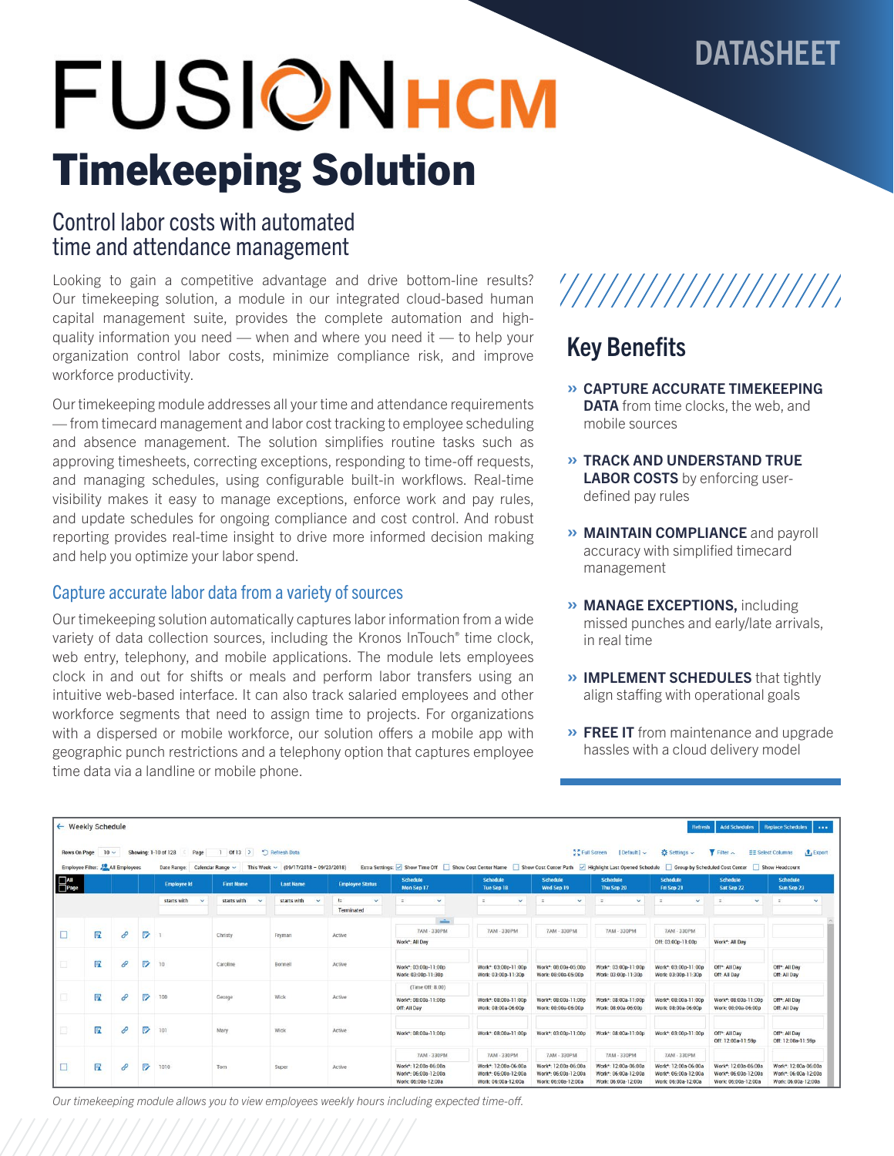# DATASHEET

# **FUSIONHCM** Timekeeping Solution

# Control labor costs with automated time and attendance management

Looking to gain a competitive advantage and drive bottom-line results? Our timekeeping solution, a module in our integrated cloud-based human capital management suite, provides the complete automation and highquality information you need — when and where you need it — to help your organization control labor costs, minimize compliance risk, and improve workforce productivity.

Our timekeeping module addresses all your time and attendance requirements — from timecard management and labor cost tracking to employee scheduling and absence management. The solution simplifies routine tasks such as approving timesheets, correcting exceptions, responding to time-off requests, and managing schedules, using configurable built-in workflows. Real-time visibility makes it easy to manage exceptions, enforce work and pay rules, and update schedules for ongoing compliance and cost control. And robust reporting provides real-time insight to drive more informed decision making and help you optimize your labor spend.

## Capture accurate labor data from a variety of sources

Our timekeeping solution automatically captures labor information from a wide variety of data collection sources, including the Kronos InTouch® time clock, web entry, telephony, and mobile applications. The module lets employees clock in and out for shifts or meals and perform labor transfers using an intuitive web-based interface. It can also track salaried employees and other workforce segments that need to assign time to projects. For organizations with a dispersed or mobile workforce, our solution offers a mobile app with geographic punch restrictions and a telephony option that captures employee time data via a landline or mobile phone.

# '////////////////////

# Key Benefits

- » CAPTURE ACCURATE TIMEKEEPING **DATA** from time clocks, the web, and mobile sources
- » TRACK AND UNDERSTAND TRUE LABOR COSTS by enforcing userdefined pay rules
- » MAINTAIN COMPLIANCE and payroll accuracy with simplified timecard management
- » MANAGE EXCEPTIONS, including missed punches and early/late arrivals, in real time
- » IMPLEMENT SCHEDULES that tightly align staffing with operational goals
- » FREE IT from maintenance and upgrade hassles with a cloud delivery model

|                           | ← Weekly Schedule                        |               |   |                                                              |                                         |                                             |                                              |                                                                                                                                             |                                                                     |                                                                     |                                                                     |                                                                     | <b>Add Schedules</b><br><b>Replace Schedules</b><br>Refresh<br>$-0.000$ |                                                                     |  |
|---------------------------|------------------------------------------|---------------|---|--------------------------------------------------------------|-----------------------------------------|---------------------------------------------|----------------------------------------------|---------------------------------------------------------------------------------------------------------------------------------------------|---------------------------------------------------------------------|---------------------------------------------------------------------|---------------------------------------------------------------------|---------------------------------------------------------------------|-------------------------------------------------------------------------|---------------------------------------------------------------------|--|
| <b>Rows On Page</b>       | $10 -$<br>Employee Filter: All Employees |               |   | Showing: 1-10 of 128<br>Page<br>Date Range: Calendar Range ~ | $Of13$ ><br>$\mathbf{1}$<br>This Week ~ | Refresh Data<br>$(09/17/2018 - 09/23/2018)$ |                                              | Extra Settings: v Show Time Off Show Cost Center Name Show Cost Center Path v Highlight Last Opened Schedule Group by Scheduled Cost Center |                                                                     |                                                                     | 5 C Full Screen<br>Default   v                                      | ☆ Settings ↓                                                        | $Y$ Filter $\sim$                                                       | $t_1$ Export<br><b>EE Select Columns</b><br>Show Headcount          |  |
| $\Box$ All<br>$\Box$ Page |                                          |               |   | <b>Employee Id</b>                                           | <b>First Name</b>                       | <b>Last Name</b>                            | <b>Employee Status</b>                       | Schedule<br>Mon Sep 17                                                                                                                      | <b>Schedule</b><br>Tue Sep 18                                       | <b>Schedule</b><br>Wed Sep 19                                       | <b>Schedule</b><br>Thu Sep 20                                       | <b>Schedule</b><br>Fri Sep 21                                       | <b>Schedule</b><br>Sat Sep 22                                           | <b>Schedule</b><br>Sun Sep 23                                       |  |
|                           |                                          |               |   | starts with<br>$\checkmark$                                  | starts with<br>$\sim$                   | starts with<br>$\ddot{}$                    | $\mathbb{R}^n$<br>$\checkmark$<br>Terminated | $\equiv$<br>$\checkmark$                                                                                                                    | $\checkmark$<br>$\sim$                                              | $\checkmark$<br>$\equiv$                                            | $\checkmark$<br>$\sim$                                              | $\checkmark$<br>$\equiv$                                            | $\checkmark$<br>$\equiv$                                                | $\sim$<br>$\sim$                                                    |  |
| $\Box$                    | 匠                                        | $\mathscr{O}$ | ₽ |                                                              | Christy                                 | Fryman                                      | Active                                       | $\frac{1}{2}$<br>7AM - 330PM                                                                                                                | 7AM - 330PM                                                         | 7AM - 330PM                                                         | <b>7AM - 330PM</b>                                                  | 7AM - 330PM                                                         |                                                                         |                                                                     |  |
|                           |                                          |               |   |                                                              |                                         |                                             |                                              | Work*: All Day                                                                                                                              |                                                                     |                                                                     |                                                                     | Off: 03:00p-11:00p                                                  | Work*: All Day                                                          |                                                                     |  |
| a                         | 匠                                        | 8             | P | 10                                                           | Caroline                                | Bonnell                                     | Active                                       | Work*: 03:00p-11:00p<br>Work: 03:00p-11:30p                                                                                                 | Work*: 03:00p-11:00p<br>Work: 03:00p-11:30p                         | Work*: 08:00a-05:00p<br>Work: 08:00a-05:00p                         | Work*: 03:00p-11:00p<br>Work: 03:00p-11:30p                         | Work*: 03:00p-11:00p<br>Work: 03:00p-11:30p                         | Off*: All Day<br>Off: All Day                                           | Off <sup>*</sup> : All Day<br>Off: All Day                          |  |
| □                         | 团                                        | 0             | ₽ | 100                                                          | George                                  | Wick                                        | Active                                       | (Time Off: 8.00)                                                                                                                            |                                                                     |                                                                     |                                                                     |                                                                     |                                                                         |                                                                     |  |
|                           |                                          |               |   |                                                              |                                         |                                             |                                              | Work*: 08:00a-11:00p<br>Off: All Day                                                                                                        | Work*: 08:00a-11:00p<br>Work: 08:00a-06:00p                         | Work*: 08:00a-11:00p<br>Work: 08:00a-06:00p                         | Work*: 08:00a-11:00p<br>Work: 08:00a-06:00p                         | Work*: 08:00a-11:00p<br>Work: 08:00a-06:00p                         | Work*: 08:00a-11:00p<br>Work: 08:00a-06:00p                             | Off*: All Day<br>Off: All Day                                       |  |
| 口                         | 唇                                        | 0             | ₽ | 101                                                          | Mary                                    | Wick                                        | Active                                       | Work*: 08:00a-11:00p                                                                                                                        | Work*: 08:00a-11:00p                                                | Work*: 03:00p-11:00p                                                | Work*: 08:00a-11:00p                                                | Work*: 03:00p-11:00p                                                | Off <sup>*</sup> : All Day<br>Off: 12:00a-11:59p                        | Off*: All Day<br>Off: 12:00a-11:59p                                 |  |
| $\Box$                    |                                          |               |   |                                                              |                                         |                                             | Active                                       | <b>7AM - 330PM</b>                                                                                                                          | <b>7AM - 330PM</b>                                                  | 7AM - 330PM                                                         | <b>7AM - 330PM</b>                                                  | <b>7AM - 330PM</b>                                                  |                                                                         |                                                                     |  |
|                           | 唇                                        | $\mathscr{O}$ | ☞ | 1010                                                         | Tom                                     | Super                                       |                                              | Work*: 12:00a-06:00a<br>Work*: 06:00a-12:00a<br>Work: 06:00a-12:00a                                                                         | Work*: 12:00a-06:00a<br>Work*: 06:00a-12:00a<br>Work: 06:00a-12:00a | Work*: 12:00a-06:00a<br>Work*: 06:00a-12:00a<br>Work: 06:00a-12:00a | Work*: 12:00a-06:00a<br>Work*: 06:00a-12:00a<br>Work: 06:00a-12:00a | Work*: 12:00a-06:00a<br>Work*: 06:00a-12:00a<br>Work: 06:00a-12:00a | Work*: 12:00a-06:00a<br>Work*: 06:00a-12:00a<br>Work: 06:00a-12:00a     | Work*: 12:00a-06:00a<br>Work*: 06:00a-12:00a<br>Work: 06:00a-12:00a |  |

*Our timekeeping module allows you to view employees weekly hours including expected time-off.*